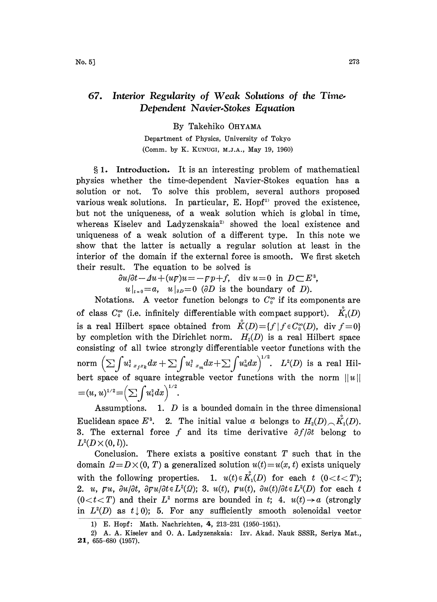## 67. Interior Regularity of Weak Solutions of the Time. Dependent Navier.Stokes Equation

## By Takehiko OHYAMA

Department of Physics, University of Tokyo (Comm. by K. KUNUGI, M.J.A., May 19, 1960)

1. Introduction. It is an interesting problem of mathematical physics whether the time-dependent Navier-Stokes equation has a solution or not. To solve this problem, several authors proposed various weak solutions. In particular, E. Hopf<sup>11</sup> proved the existence, but not the uniqueness, of a weak solution which is global in time, whereas Kiselev and Ladyzenskaia<sup>2</sup> showed the local existence and uniqueness of a weak solution of a different type. In this note we show that the latter is actually a regular solution at least in the interior of the domain if the external force is smooth. We first sketch their result. The equation to be solved is

> $\partial u/\partial t - \partial u + (u\psi)u = -\psi p + f$ , div  $u=0$  in  $D \subset E^3$ ,  $u|_{t=0}=a$ ,  $u|_{\partial D}=0$  ( $\partial D$  is the boundary of D).

Notations. A vector function belongs to  $C_0^{\infty}$  if its components are of class  $C_0^{\infty}$  (i.e. infinitely differentiable with compact support).  $\mathring{K}_1(D)$ is a real Hilbert space obtained from  $K(D) = \{f \mid f \in C_0^{\infty}(D), \text{ div } f = 0\}$ by completion with the Dirichlet norm.  $H_2(D)$  is a real Hilbert space consisting of all twice strongly differentiable vector functions with the norm  $\left(\sum \int u_{i}^{2} x_{j} x_{k} dx + \sum \int u_{i}^{2} x_{m} dx + \sum \int u_{n}^{2} dx\right)^{1/2}$ .  $L^{2}(D)$  is a real Hilbert space of square integrable vector functions with the norm  $||u||$  $=(u, u)^{1/2} = (\sum \int u_i^2 dx)^{1/2}.$ 

Assumptions. 1.  $D$  is a bounded domain in the three dimensional Euclidean space  $E^3$ . 2. The initial value a belongs to  $H_2(D) \sim \tilde{K}_1(D)$ . 3. The external force f and its time derivative  $\partial f/\partial t$  belong to  $L^2(D{\times}(0,l)).$ 

Conclusion. There exists a positive constant  $T$  such that in the domain  $\Omega = D \times (0, T)$  a generalized solution  $u(t) = u(x, t)$  exists uniquely with the following properties. 1.  $u(t) \in \mathring{K}_1(D)$  for each  $t \ (0 \lt t \lt T)$ ; 2. u,  $\overline{\rho}u$ ,  $\partial u/\partial t$ ,  $\partial \overline{\rho}u/\partial t \in L^2(\Omega)$ ; 3. u(t),  $\overline{\rho}u(t)$ ,  $\partial u(t)/\partial t \in L^2(D)$  for each t  $(0 < t < T)$  and their  $L^2$  norms are bounded in t; 4.  $u(t) \rightarrow a$  (strongly in  $L^2(D)$  as  $t\downarrow 0$ ; 5. For any sufficiently smooth solenoidal vector

<sup>1)</sup> E. Hopf: Math. Nachrichten, 4, 213-231 (1950-1951).

<sup>2)</sup> A. A. Kiselev and O. A. Ladyzenskaia: Izv. Akad. Nauk SSSR, Seriya Mat., 21, 655-680 (1957).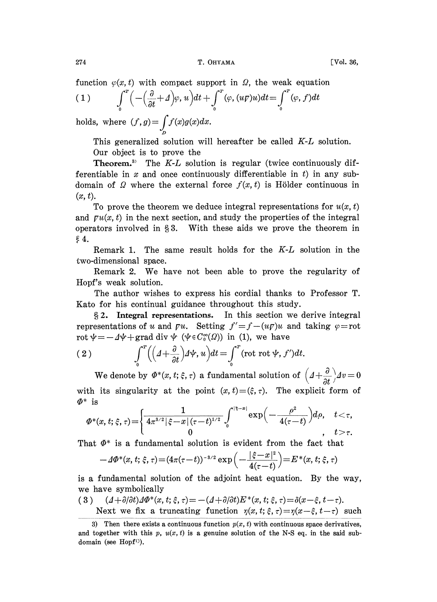function  $\varphi(x, t)$  with compact support in  $\Omega$ , the weak equation

(1) 
$$
\int_0^T \left( -\left(\frac{\partial}{\partial t} + \Delta\right) \varphi, u \right) dt + \int_0^T (\varphi, (u\varphi)u) dt = \int_0^T (\varphi, f) dt
$$

holds, where  $(f,g) = \int f(x)g(x)dx$ .

This generalized solution will hereafter be called K-L solution. Our object is to prove the

**Theorem.**<sup>3</sup> The K-L solution is regular (twice continuously differentiable in  $x$  and once continuously differentiable in  $t$ ) in any subdomain of  $\Omega$  where the external force  $f(x, t)$  is Hölder continuous in  $(x, t)$ .

To prove the theorem we deduce integral representations for  $u(x, t)$ and  $\varphi(u, t)$  in the next section, and study the properties of the integral operators involved in  $\S 3$ . With these aids we prove the theorem in  $$4.$ 

Remark 1. The same result holds for the  $K-L$  solution in the two-dimensional space.

Remark 2. We have not been able to prove the regularity of Hopf's weak solution.

The author wishes to express his cordial thanks to Professor T. Kato for his continual guidance throughout this study.

2. Integral representations. In this section we derive integral representations of u and  $\overline{\rho}u$ . Setting  $f' = f - (u\overline{\rho})u$  and taking  $\varphi = \text{rot}$ rot  $\psi=-\Delta\psi+grad \operatorname{div} \psi$  ( $\psi \in C_0^{\infty}(\Omega)$ ) in (1), we have

(2) 
$$
\int_0^T \left( \left(4 + \frac{\partial}{\partial t}\right) 4\psi, u \right) dt = \int_0^T (\text{rot rot } \psi, f') dt.
$$

 $\partial$ We denote by  $\Phi^*(x, t; \xi, \tau)$  a fundamental solution of  $\left(4 + \frac{\partial}{\partial t}\right)Av = 0$ with its singularity at the point  $(x, t) = (\xi, \tau)$ . The explicit form of  $\varPhi^*$  is

$$
\varPhi^*(x,t;\xi,\tau) = \begin{cases} \frac{1}{4\pi^{3/2}|\xi-x|(\tau-t)^{1/2}} \int_0^{|\xi-x|} \exp\Bigl(-\frac{\rho^2}{4(\tau-t)}\Bigr)d\rho, & t < \tau, \\ 0, & t > \tau. \end{cases}
$$

That  $\Phi^*$  is a fundamental solution is evident from the fact that

$$
-4\Phi^*(x,t;\xi,\tau) = (4\pi(\tau-t))^{-3/2} \exp\left(-\frac{|\xi-x|^2}{4(\tau-t)}\right) = E^*(x,t;\xi,\tau)
$$

is a fundamental solution of the adjoint heat equation. By the way, we have symbolieally

(3) 
$$
(A+\partial/\partial t)A\Phi^*(x,t;\xi,\tau) = -(A+\partial/\partial t)E^*(x,t;\xi,\tau) = \delta(x-\xi,t-\tau).
$$
 Next we fix a truncating function  $\eta(x,t;\xi,\tau) = \eta(x-\xi,t-\tau)$  such

<sup>3)</sup> Then there exists a continuous function  $p(x, t)$  with continuous space derivatives, and together with this p,  $u(x, t)$  is a genuine solution of the N-S eq. in the said subdomain (see Hopf<sup>1)</sup>).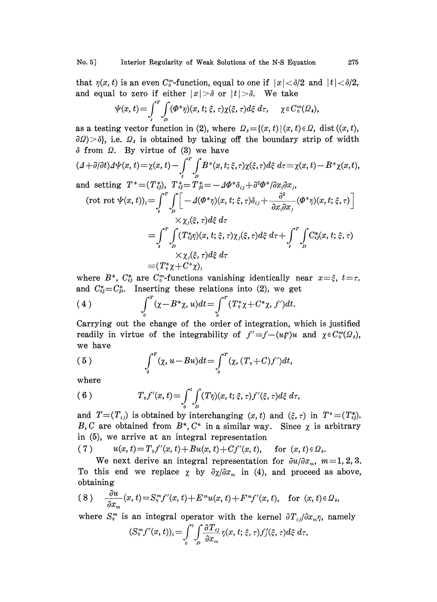## No. 5] Interior Regularity of Weak Solutions of the N-S Equation 275

that  $r(x, t)$  is an even  $C_0^{\infty}$ -function, equal to one if  $|x| < \delta/2$  and  $|t| < \delta/2$ , and equal to zero if either  $|x|>\delta$  or  $|t|>\delta$ . We take

$$
\psi(x,t) = \int_{t}^{T} \int_{D} (\varPhi^*\eta)(x,t;\xi,\tau)\chi(\xi,\tau)d\xi d\tau, \quad \chi \in C_0^{\infty}(\Omega_s),
$$

as a testing vector function in (2), where  $\Omega_i = \{(x, t) | (x, t) \in \Omega, \text{dist}((x, t),$  $\partial\Omega$ ) $>$  $\delta$ , i.e.  $\Omega_s$  is obtained by taking off the boundary strip of width  $\delta$  from  $\Omega$ . By virtue of (3) we have

$$
(A+\partial/\partial t)\Delta\psi(x,t) = \chi(x,t) - \int_t^T \int_B B^*(x,t;\xi,\tau)\chi(\xi,\tau)d\xi \,d\tau = \chi(x,t) - B^*\chi(x,t),
$$

and setting 
$$
T^* = (T^*_{ij})
$$
,  $T^*_{ij} = T^*_{ji} = -\Delta \Phi^* \delta_{ij} + \partial^2 \Phi^* / \partial x_i \partial x_j$ ,  
(rot rot  $\psi(x, t)$ ) =  $\int^T \int_{-\Delta}^{\Delta} (\Phi^* \eta)(x, t; \xi, \tau) \delta_{ij} + \frac{\partial^2}{\partial x_i} (\Phi^* \eta) \delta_{ij}$ 

$$
(\text{rot rot }\psi(x,t))_i = \int_t^T \int_D \left[ -\Delta(\Phi^*\eta)(x,t;\xi,\tau)\delta_{ij} + \frac{\partial^2}{\partial x_i \partial x_j} (\Phi^*\eta)(x,t;\xi,\tau) \right] \times \chi_j(\xi,\tau) d\xi d\tau
$$
  
\n
$$
= \int_t^T \int_D (T^*_{ij}\eta)(x,t;\xi,\tau)\chi_j(\xi,\tau) d\xi d\tau + \int_t^T \int_D C^*_{ij}(x,t;\xi,\tau) \times \chi_j(\xi,\tau) d\xi d\tau
$$
  
\n
$$
\times \chi_j(\xi,\tau) d\xi d\tau
$$
  
\n
$$
= (T^*_\eta \chi + C^* \chi)_i
$$

where  $B^*$ ,  $C_{ij}^*$  are  $C_0^*$ -functions vanishing identically near  $x=\xi$ ,  $t=\tau$ , and  $C_{ij}^* = C_{ji}^*$ . Inserting these relations into (2), we get

(4) 
$$
\int_{0}^{T} (\chi - B^* \chi, u) dt = \int_{0}^{T} (T^*_{\eta} \chi + C^* \chi, f') dt.
$$

Carrying out the ehange of the order of integration, which is justified readily in virtue of the integrability of  $f' = f - (u\varphi)u$  and  $\chi \in C_0^{\infty}(\Omega_s)$ , we have

(5) 
$$
\int_{0}^{T} (\chi, u - Bu) dt = \int_{0}^{T} (\chi, (T_{\eta} + C) f') dt,
$$

where

(6) 
$$
T_{\eta}f'(x,t) = \int_{0}^{t} \int_{D} (T\eta)(x,t;\xi,\tau) f'(\xi,\tau) d\xi d\tau,
$$

and  $T=(T_{ij})$  is obtained by interchanging  $(x, t)$  and  $(\xi, \tau)$  in  $T^*=(T_{ij}^*)$ . B, C are obtained from  $B^*$ ,  $C^*$  in a similar way. Since  $\chi$  is arbitrary in (5), we arrive at an integral representation

(7)  $u(x,t) = T_{n}f'(x,t) + Bu(x,t) + Cf'(x,t),$  for  $(x,t) \in \Omega_{\delta}$ .

We next derive an integral representation for  $\partial u/\partial x_m$ ,  $m=1, 2, 3$ . To this end we replace  $\chi$  by  $\partial \chi / \partial x_m$  in (4), and proceed as above, obtaining

(8) 
$$
\frac{\partial u}{\partial x_m}(x,t) = S_{\eta}^m f'(x,t) + E^m u(x,t) + F^m f'(x,t), \text{ for } (x,t) \in \Omega_{\delta},
$$

where  $S_n^m$  is an integral operator with the kernel  $\partial T_{ij}/\partial x_m \eta$ , namely

$$
(S_{\eta}^{m} f'(x,t))_{i} = \int_{0}^{t} \int_{D} \frac{\partial T_{ij}}{\partial x_{m}} \eta(x,t;\xi,\tau) f'_{j}(\xi,\tau) d\xi d\tau,
$$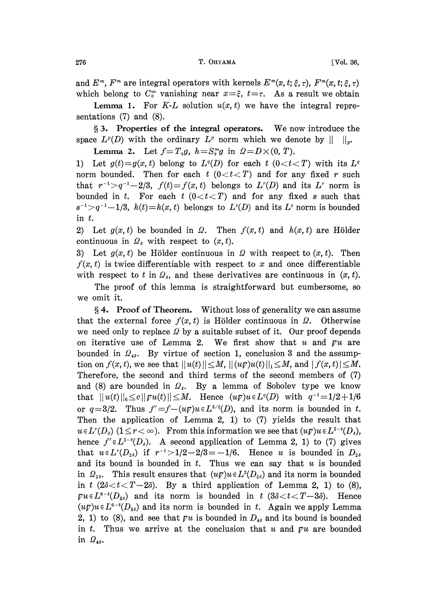and  $E^m$ ,  $F^m$  are integral operators with kernels  $E^m(x, t; \xi, \tau)$ ,  $F^m(x, t; \xi, \tau)$ which belong to  $C_0^{\infty}$  vanishing near  $x=\xi$ ,  $t=\tau$ . As a result we obtain

**Lemma 1.** For K-L solution  $u(x, t)$  we have the integral representations (7) and (8).

§ 3. Properties of the integral operators. We now introduce the space  $L^p(D)$  with the ordinary  $L^p$  norm which we denote by  $|| \cdot ||_p$ .

Lemma 2. Let  $f=T_{\eta}g$ ,  $h=S_{\eta}^{m}g$  in  $\Omega = D \times (0, T)$ .

1) Let  $g(t)=g(x, t)$  belong to  $L^{q}(D)$  for each  $t (0 < t < T)$  with its  $L^{q}$ norm bounded. Then for each  $t$  ( $0 < t < T$ ) and for any fixed r such that  $r^{-1} > q^{-1} - 2/3$ ,  $f(t) = f(x, t)$  belongs to  $L^r(D)$  and its  $L^r$  norm is bounded in t. For each  $t$  ( $0 < t < T$ ) and for any fixed s such that  $s^{-1} > q^{-1} - 1/3$ ,  $h(t) = h(x, t)$  belongs to  $L^s(D)$  and its  $L^s$  norm is bounded<br>in t. in t.

2) Let  $g(x, t)$  be bounded in  $\Omega$ . Then  $f(x, t)$  and  $h(x, t)$  are Hölder continuous in  $\Omega_i$  with respect to  $(x, t)$ .

3) Let  $g(x, t)$  be Hölder continuous in  $\Omega$  with respect to  $(x, t)$ . Then  $f(x, t)$  is twice differentiable with respect to x and once differentiable with respect to t in  $\Omega_{\delta}$ , and these derivatives are continuous in  $(x, t)$ .

The proof of this lemma is straightforward but cumbersome, so we omit it.

4. Proof of Theorem. Without loss of generality we can assume that the external force  $f(x, t)$  is Hölder continuous in  $\Omega$ . Otherwise we need only to replace  $\Omega$  by a suitable subset of it. Our proof depends on iterative use of Lemma 2. We first show that u and  $\overline{\rho}u$  are bounded in  $\Omega_{4\delta}$ . By virtue of section 1, conclusion 3 and the assumption on  $f(x,t)$ , we see that  $||u(t)|| \leq M$ ,  $||(u\psi)u(t)||_1 \leq M$ , and  $|f(x,t)| \leq M$ . Therefore, the second and third terms of the second members of (7) and (8) are bounded in  $Q_i$ . By a lemma of Sobolev type we know that  $||u(t)||_6 \le c||\mathit{r}u(t)|| \le M$ . Hence  $(u\mathit{r})u \in L^q(D)$  with  $q^{-1}=1/2+1/6$ or  $q=3/2$ . Thus  $f' = f - (uq)u \in L^{3/2}(D)$ , and its norm is bounded in t. Then the application of Lemma 2, 1) to (7) yields the result that  $u \in L^{r}(D_{\delta})$   $(1 \leq r < \infty)$ . From this information we see that  $(u\mathbf{v})u \in L^{2-\epsilon}(D_{\delta})$ , hence  $f' \in L^{2-\epsilon}(D_{\delta})$ . A second application of Lemma 2, 1) to (7) gives that  $u \in L^r(D_{2\delta})$  if  $r^{-1} > 1/2-2/3 = -1/6$ . Hence u is bounded in  $D_{2\delta}$ and its bound is bounded in  $t$ . Thus we can say that  $u$  is bounded in  $\Omega_{2\delta}$ . This result ensures that  $(u\psi)u \in L^2(D_{2\delta})$  and its norm is bounded in t  $(2\delta < t < T-2\delta)$ . By a third application of Lemma 2, 1) to (8),  $\mathcal{J}u \in L^{6-\epsilon}(D_{3\delta})$  and its norm is bounded in  $t$  (3 $\delta < t < T-3\delta$ ). Hence  $(u\mathfrak{p})u \in L^{6-\epsilon}(D_{3\delta})$  and its norm is bounded in t. Again we apply Lemma 2, 1) to (8), and see that  $\overline{\rho}u$  is bounded in  $D_{4\delta}$  and its bound is bounded in t. Thus we arrive at the conclusion that u and  $\eta u$  are bounded in  $\Omega_{4\delta}$ .